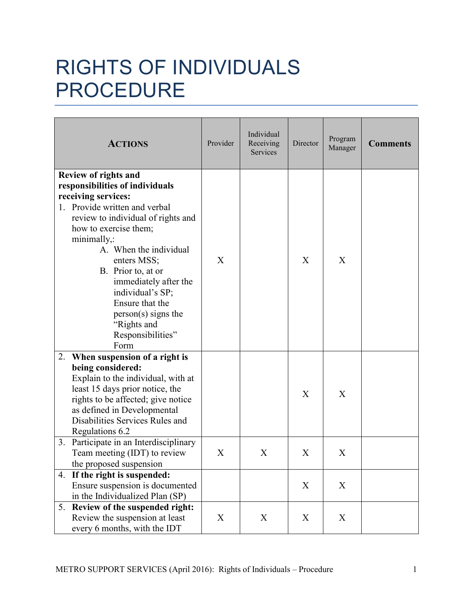## RIGHTS OF INDIVIDUALS PROCEDURE

| <b>ACTIONS</b>                                                                                                                                                                                                                                                                                                                                                                                           | Provider | Individual<br>Receiving<br>Services | Director | Program<br>Manager | <b>Comments</b> |
|----------------------------------------------------------------------------------------------------------------------------------------------------------------------------------------------------------------------------------------------------------------------------------------------------------------------------------------------------------------------------------------------------------|----------|-------------------------------------|----------|--------------------|-----------------|
| <b>Review of rights and</b><br>responsibilities of individuals<br>receiving services:<br>1. Provide written and verbal<br>review to individual of rights and<br>how to exercise them;<br>minimally,:<br>A. When the individual<br>enters MSS;<br>B. Prior to, at or<br>immediately after the<br>individual's SP;<br>Ensure that the<br>$person(s)$ signs the<br>"Rights and<br>Responsibilities"<br>Form | X        |                                     | X        | X                  |                 |
| When suspension of a right is<br>2.<br>being considered:<br>Explain to the individual, with at<br>least 15 days prior notice, the<br>rights to be affected; give notice<br>as defined in Developmental<br>Disabilities Services Rules and<br>Regulations 6.2                                                                                                                                             |          |                                     | X        | X                  |                 |
| Participate in an Interdisciplinary<br>3.<br>Team meeting (IDT) to review<br>the proposed suspension                                                                                                                                                                                                                                                                                                     | X        | X                                   | X        | X                  |                 |
| 4. If the right is suspended:<br>Ensure suspension is documented<br>in the Individualized Plan (SP)                                                                                                                                                                                                                                                                                                      |          |                                     | X        | X                  |                 |
| 5. Review of the suspended right:<br>Review the suspension at least<br>every 6 months, with the IDT                                                                                                                                                                                                                                                                                                      | X        | X                                   | X        | X                  |                 |